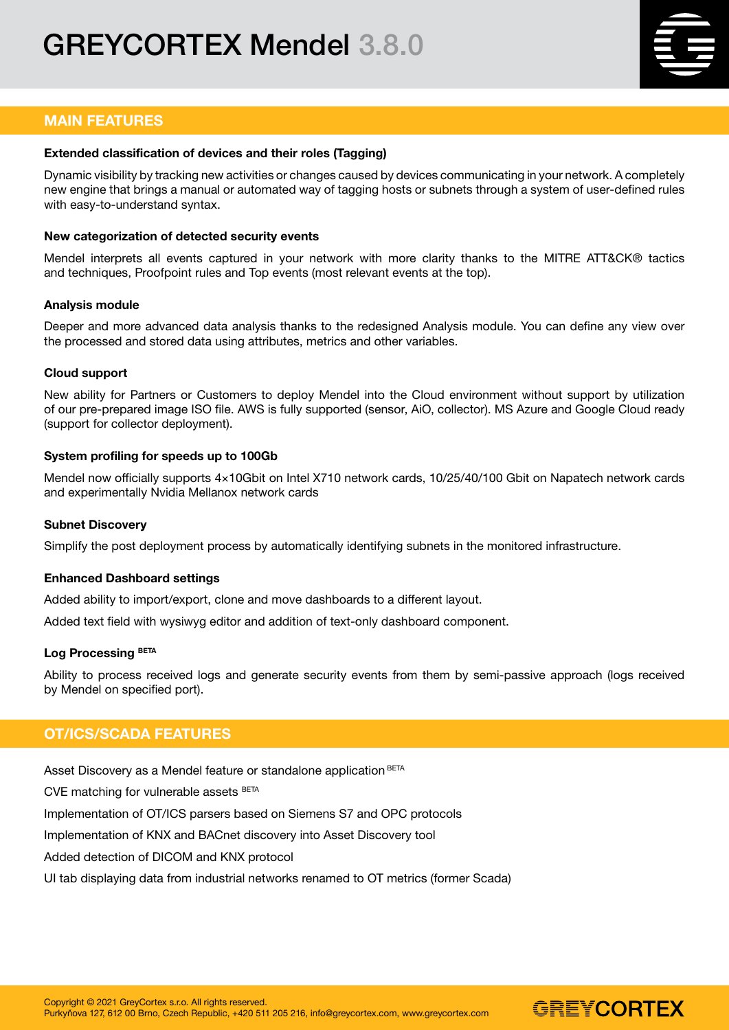# GREYCORTEX Mendel 3.8.0



## MAIN FEATURES

#### Extended classification of devices and their roles (Tagging)

Dynamic visibility by tracking new activities or changes caused by devices communicating in your network. A completely new engine that brings a manual or automated way of tagging hosts or subnets through a system of user-defined rules with easy-to-understand syntax.

#### New categorization of detected security events

Mendel interprets all events captured in your network with more clarity thanks to the MITRE ATT&CK® tactics and techniques, Proofpoint rules and Top events (most relevant events at the top).

#### Analysis module

Deeper and more advanced data analysis thanks to the redesigned Analysis module. You can define any view over the processed and stored data using attributes, metrics and other variables.

#### Cloud support

New ability for Partners or Customers to deploy Mendel into the Cloud environment without support by utilization of our pre-prepared image ISO file. AWS is fully supported (sensor, AiO, collector). MS Azure and Google Cloud ready (support for collector deployment).

#### System profiling for speeds up to 100Gb

Mendel now officially supports 4×10Gbit on Intel X710 network cards, 10/25/40/100 Gbit on Napatech network cards and experimentally Nvidia Mellanox network cards

#### Subnet Discovery

Simplify the post deployment process by automatically identifying subnets in the monitored infrastructure.

#### Enhanced Dashboard settings

Added ability to import/export, clone and move dashboards to a different layout.

Added text field with wysiwyg editor and addition of text-only dashboard component.

#### Log Processing BETA

Ability to process received logs and generate security events from them by semi-passive approach (logs received by Mendel on specified port).

## OT/ICS/SCADA FEATURES

Asset Discovery as a Mendel feature or standalone application BETA

CVE matching for vulnerable assets BETA

Implementation of OT/ICS parsers based on Siemens S7 and OPC protocols

Implementation of KNX and BACnet discovery into Asset Discovery tool

Added detection of DICOM and KNX protocol

UI tab displaying data from industrial networks renamed to OT metrics (former Scada)